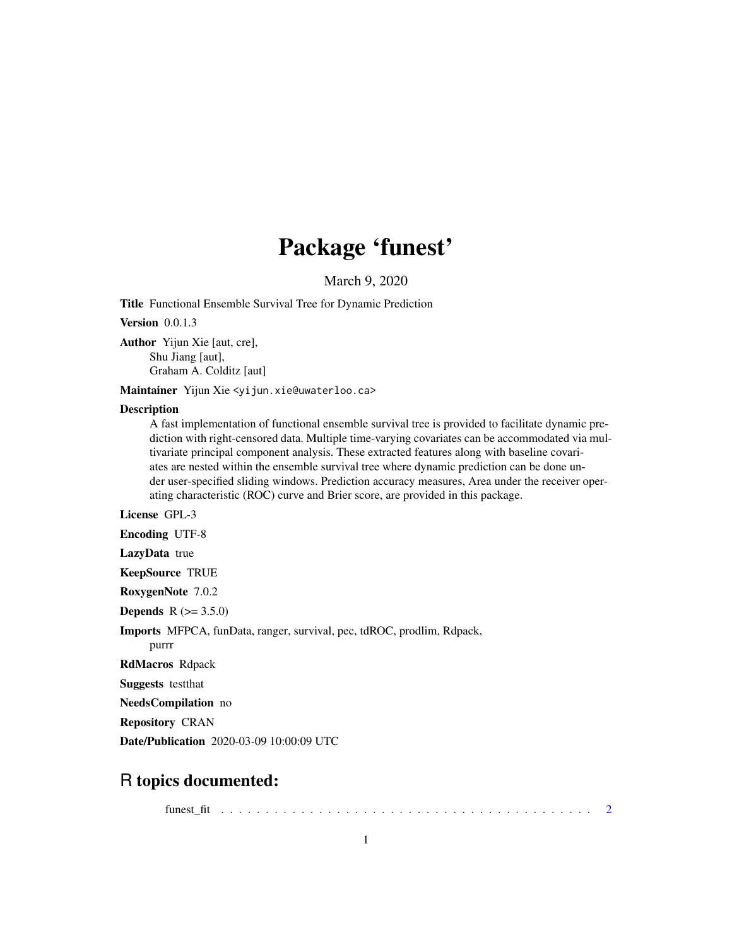## Package 'funest'

March 9, 2020

Title Functional Ensemble Survival Tree for Dynamic Prediction

Version 0.0.1.3

Author Yijun Xie [aut, cre], Shu Jiang [aut], Graham A. Colditz [aut]

Maintainer Yijun Xie <yijun.xie@uwaterloo.ca>

#### **Description**

A fast implementation of functional ensemble survival tree is provided to facilitate dynamic prediction with right-censored data. Multiple time-varying covariates can be accommodated via multivariate principal component analysis. These extracted features along with baseline covariates are nested within the ensemble survival tree where dynamic prediction can be done under user-specified sliding windows. Prediction accuracy measures, Area under the receiver operating characteristic (ROC) curve and Brier score, are provided in this package.

License GPL-3

Encoding UTF-8

LazyData true

KeepSource TRUE

RoxygenNote 7.0.2

**Depends**  $R (= 3.5.0)$ 

Imports MFPCA, funData, ranger, survival, pec, tdROC, prodlim, Rdpack,

purrr

RdMacros Rdpack

Suggests testthat

NeedsCompilation no

Repository CRAN

Date/Publication 2020-03-09 10:00:09 UTC

### R topics documented:

funest\_fit . . . . . . . . . . . . . . . . . . . . . . . . . . . . . . . . . . . . . . . . . . [2](#page-1-0)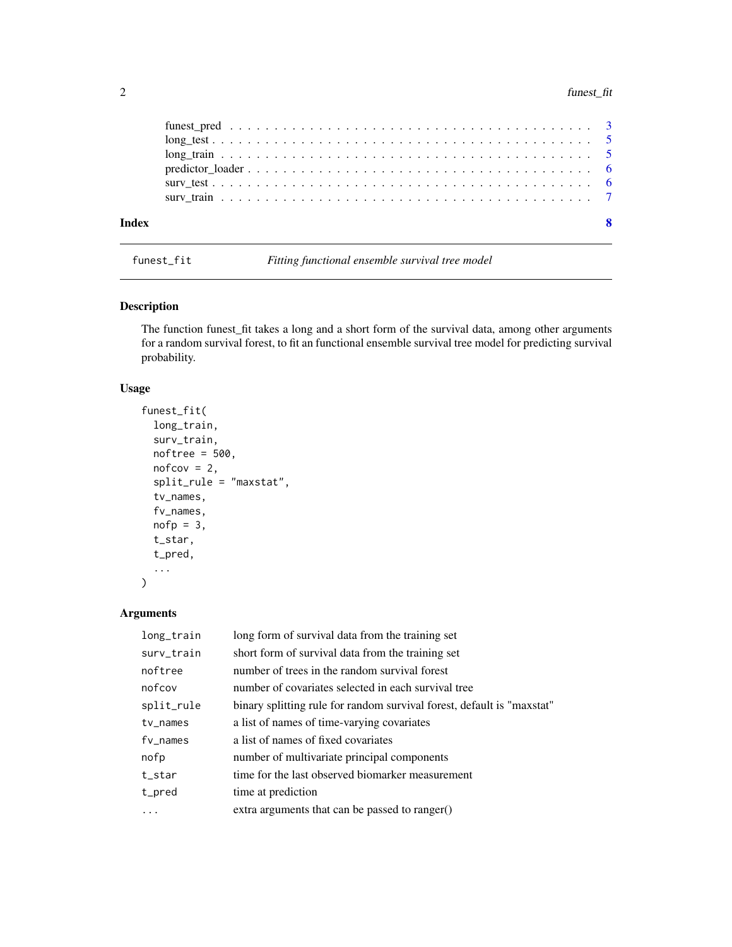<span id="page-1-0"></span>

| Index |  |
|-------|--|
|       |  |
|       |  |
|       |  |
|       |  |
|       |  |
|       |  |

funest\_fit *Fitting functional ensemble survival tree model*

#### Description

The function funest\_fit takes a long and a short form of the survival data, among other arguments for a random survival forest, to fit an functional ensemble survival tree model for predicting survival probability.

#### Usage

```
funest_fit(
  long_train,
  surv_train,
  noftree = 500,
  notcov = 2,split_rule = "maxstat",
  tv_names,
  fv_names,
  nofp = 3,t_star,
  t_pred,
  ...
```
)

#### Arguments

| long_train  | long form of survival data from the training set                       |
|-------------|------------------------------------------------------------------------|
| surv_train  | short form of survival data from the training set                      |
| noftree     | number of trees in the random survival forest                          |
| nofcov      | number of covariates selected in each survival tree                    |
| split_rule  | binary splitting rule for random survival forest, default is "maxstat" |
| $tv_$ names | a list of names of time-varying covariates                             |
| fv names    | a list of names of fixed covariates                                    |
| nofp        | number of multivariate principal components                            |
| t_star      | time for the last observed biomarker measurement                       |
| t_pred      | time at prediction                                                     |
|             | extra arguments that can be passed to ranger()                         |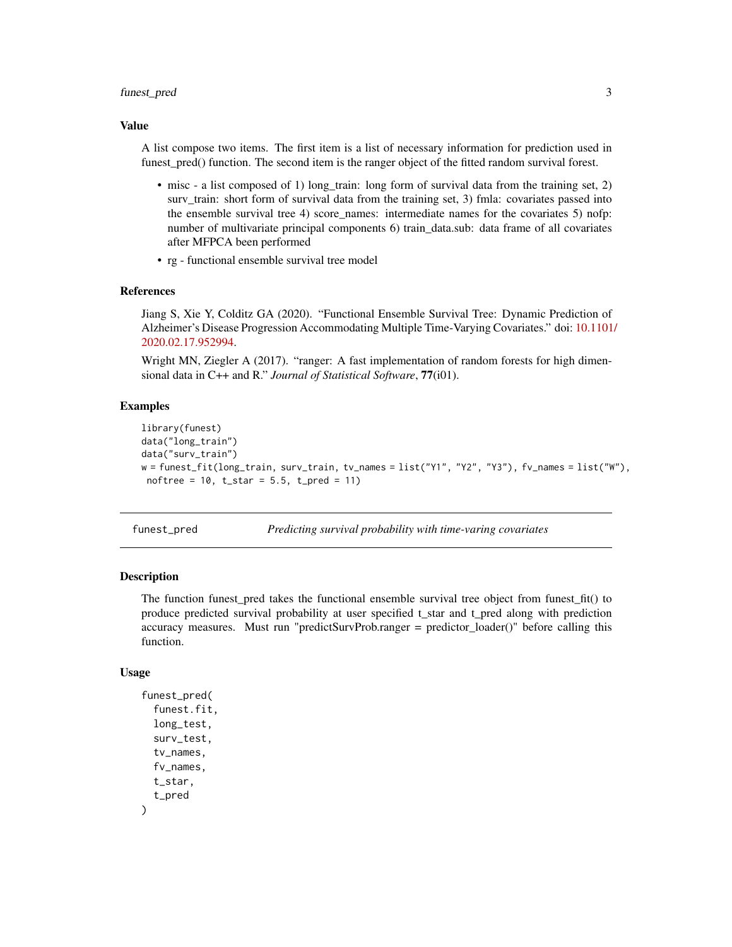#### <span id="page-2-0"></span>funest\_pred 3

#### Value

A list compose two items. The first item is a list of necessary information for prediction used in funest\_pred() function. The second item is the ranger object of the fitted random survival forest.

- misc a list composed of 1) long\_train: long form of survival data from the training set, 2) surv\_train: short form of survival data from the training set, 3) fmla: covariates passed into the ensemble survival tree 4) score\_names: intermediate names for the covariates 5) nofp: number of multivariate principal components 6) train\_data.sub: data frame of all covariates after MFPCA been performed
- rg functional ensemble survival tree model

#### References

Jiang S, Xie Y, Colditz GA (2020). "Functional Ensemble Survival Tree: Dynamic Prediction of Alzheimer's Disease Progression Accommodating Multiple Time-Varying Covariates." doi: [10.1101](https://doi.org/10.1101/2020.02.17.952994)/ [2020.02.17.952994.](https://doi.org/10.1101/2020.02.17.952994)

Wright MN, Ziegler A (2017). "ranger: A fast implementation of random forests for high dimensional data in C++ and R." *Journal of Statistical Software*, 77(i01).

#### Examples

```
library(funest)
data("long_train")
data("surv_train")
w = funest_fit(long_train, surv_train, tv_names = list("Y1", "Y2", "Y3"), fv_names = list("W"),
noftree = 10, t_star = 5.5, t_pred = 11)
```
funest\_pred *Predicting survival probability with time-varing covariates*

#### Description

The function funest\_pred takes the functional ensemble survival tree object from funest\_fit() to produce predicted survival probability at user specified t\_star and t\_pred along with prediction accuracy measures. Must run "predictSurvProb.ranger = predictor loader()" before calling this function.

#### Usage

```
funest_pred(
  funest.fit,
  long_test,
  surv_test,
  tv_names,
  fv_names,
  t_star,
  t_pred
)
```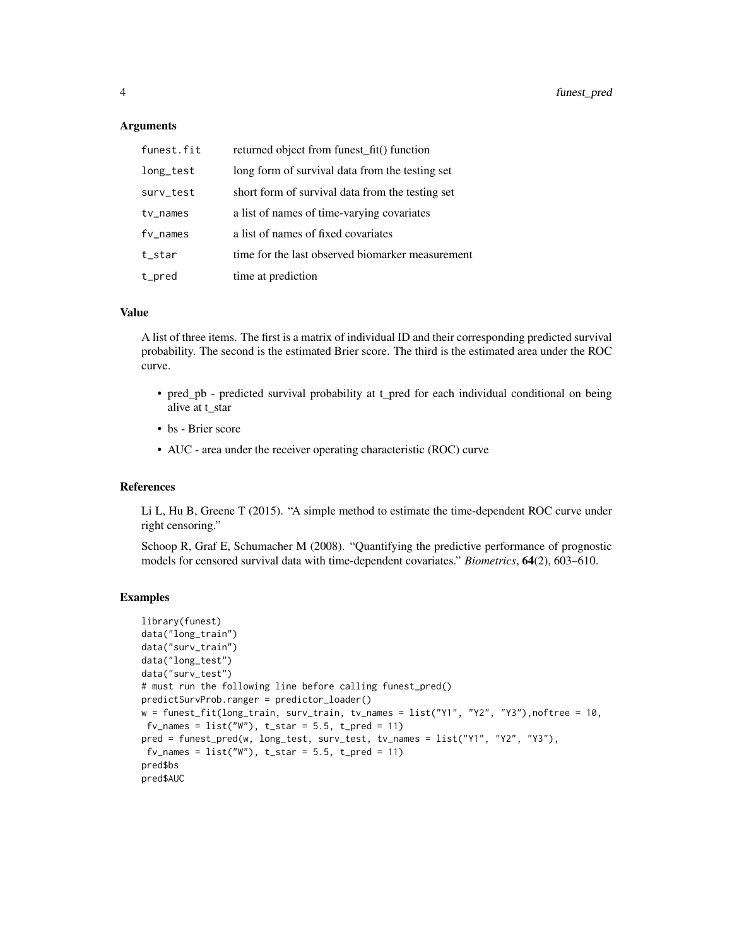#### Arguments

| funest.fit  | returned object from funest_fit() function       |
|-------------|--------------------------------------------------|
| long_test   | long form of survival data from the testing set  |
| surv_test   | short form of survival data from the testing set |
| $tv_$ names | a list of names of time-varying covariates       |
| $fv$ _names | a list of names of fixed covariates              |
| t_star      | time for the last observed biomarker measurement |
| t_pred      | time at prediction                               |

#### Value

A list of three items. The first is a matrix of individual ID and their corresponding predicted survival probability. The second is the estimated Brier score. The third is the estimated area under the ROC curve.

- pred\_pb predicted survival probability at t\_pred for each individual conditional on being alive at t\_star
- bs Brier score
- AUC area under the receiver operating characteristic (ROC) curve

#### References

Li L, Hu B, Greene T (2015). "A simple method to estimate the time-dependent ROC curve under right censoring."

Schoop R, Graf E, Schumacher M (2008). "Quantifying the predictive performance of prognostic models for censored survival data with time-dependent covariates." *Biometrics*, 64(2), 603–610.

#### Examples

```
library(funest)
data("long_train")
data("surv_train")
data("long_test")
data("surv_test")
# must run the following line before calling funest_pred()
predictSurvProb.ranger = predictor_loader()
w = funest_fit(long_train, surv_train, tv_names = list("Y1", "Y2", "Y3"),noftree = 10,
 f_{v\_names} = list("W"), t\_star = 5.5, t\_pred = 11)
pred = funest_pred(w, long_test, surv_test, tv_names = list("Y1", "Y2", "Y3"),
 fv\_names = list("W"), t\_star = 5.5, t\_pred = 11)
pred$bs
pred$AUC
```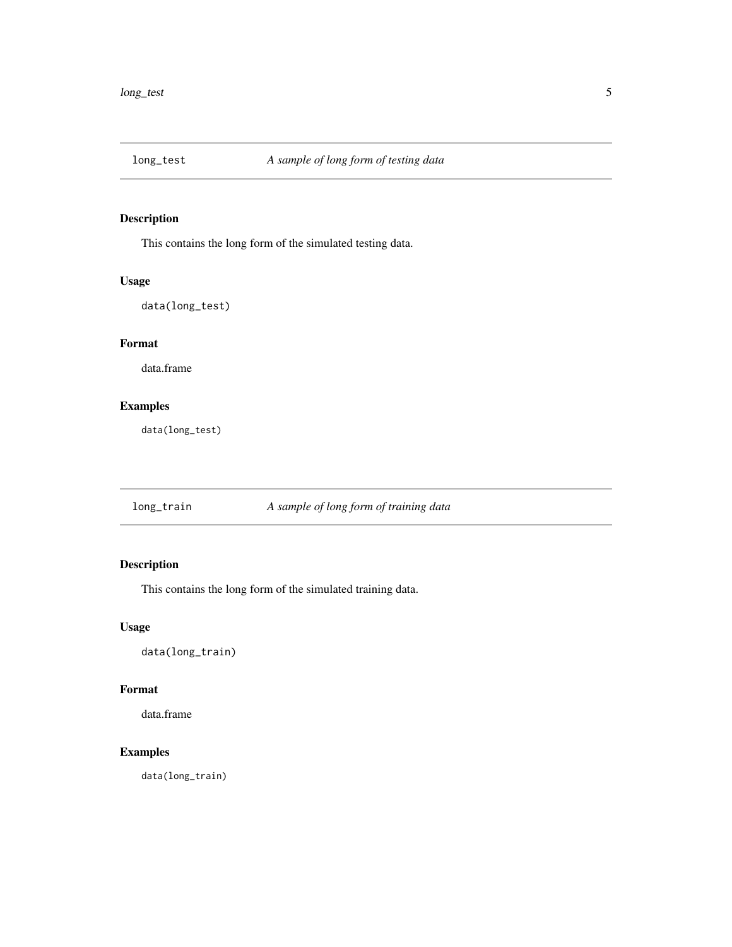<span id="page-4-0"></span>

#### Description

This contains the long form of the simulated testing data.

#### Usage

data(long\_test)

#### Format

data.frame

#### Examples

data(long\_test)

long\_train *A sample of long form of training data*

#### Description

This contains the long form of the simulated training data.

#### Usage

data(long\_train)

#### Format

data.frame

#### Examples

data(long\_train)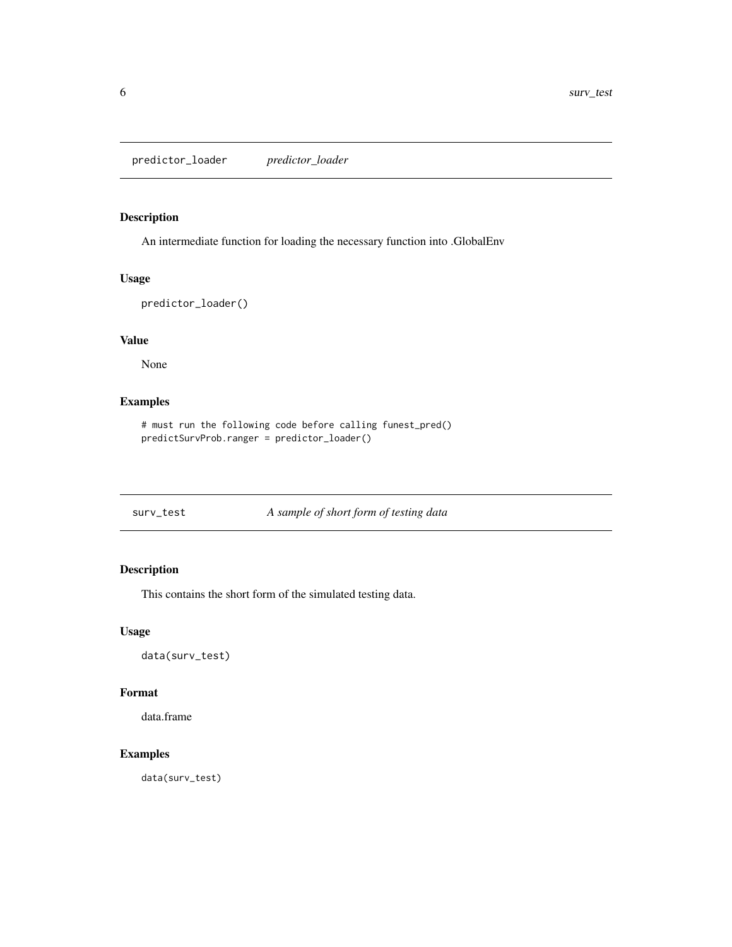<span id="page-5-0"></span>predictor\_loader *predictor\_loader*

#### Description

An intermediate function for loading the necessary function into .GlobalEnv

#### Usage

```
predictor_loader()
```
#### Value

None

#### Examples

```
# must run the following code before calling funest_pred()
predictSurvProb.ranger = predictor_loader()
```
surv\_test *A sample of short form of testing data*

#### Description

This contains the short form of the simulated testing data.

#### Usage

data(surv\_test)

#### Format

data.frame

#### Examples

data(surv\_test)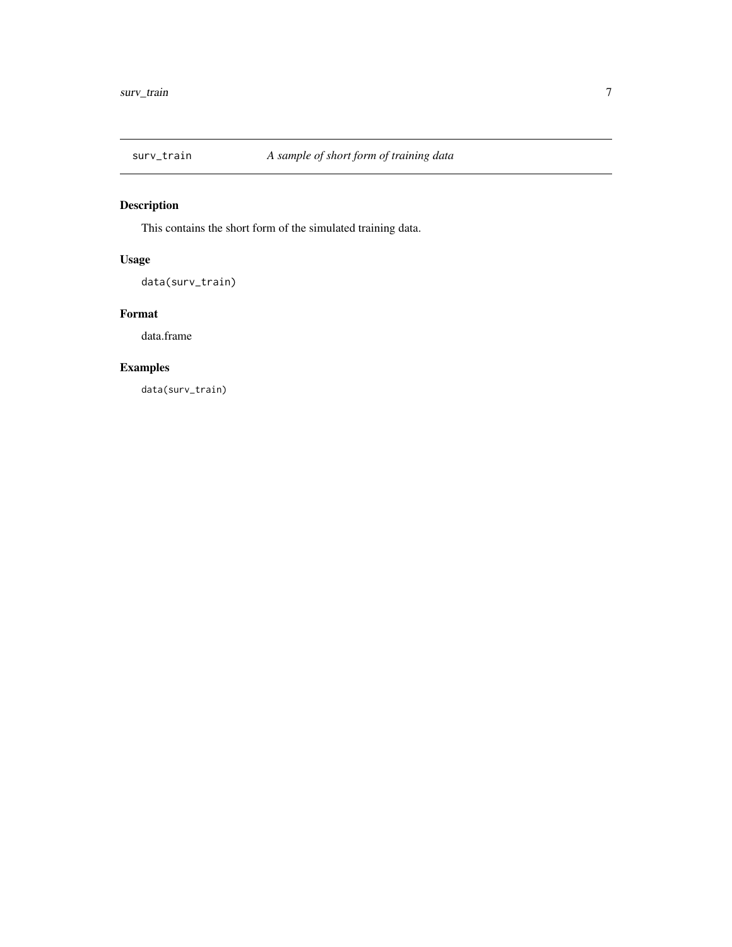<span id="page-6-0"></span>

### Description

This contains the short form of the simulated training data.

#### Usage

data(surv\_train)

#### Format

data.frame

#### Examples

data(surv\_train)